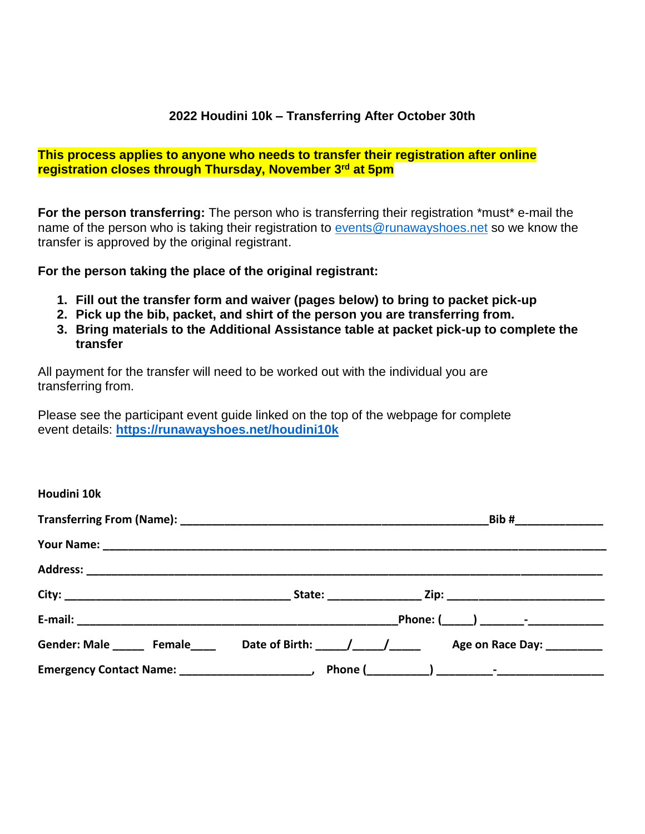## **2022 Houdini 10k – Transferring After October 30th**

## **This process applies to anyone who needs to transfer their registration after online registration closes through Thursday, November 3rd at 5pm**

**For the person transferring:** The person who is transferring their registration \*must\* e-mail the name of the person who is taking their registration to [events@runawayshoes.net](mailto:events@runawayshoes.net) so we know the transfer is approved by the original registrant.

#### **For the person taking the place of the original registrant:**

- **1. Fill out the transfer form and waiver (pages below) to bring to packet pick-up**
- **2. Pick up the bib, packet, and shirt of the person you are transferring from.**
- **3. Bring materials to the Additional Assistance table at packet pick-up to complete the transfer**

All payment for the transfer will need to be worked out with the individual you are transferring from.

Please see the participant event guide linked on the top of the webpage for complete event details: **<https://runawayshoes.net/houdini10k>**

| Houdini 10k |  |                                                                                                |
|-------------|--|------------------------------------------------------------------------------------------------|
|             |  |                                                                                                |
|             |  |                                                                                                |
|             |  |                                                                                                |
|             |  |                                                                                                |
|             |  |                                                                                                |
|             |  | Gender: Male _______ Female ______ Date of Birth: ____/ ____/ _____ Age on Race Day: _________ |
|             |  |                                                                                                |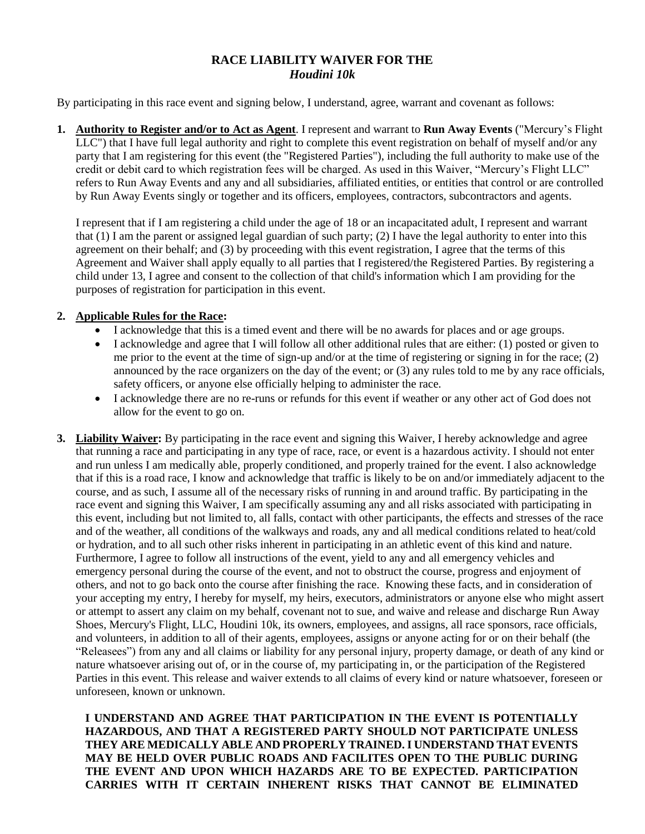# **RACE LIABILITY WAIVER FOR THE** *Houdini 10k*

By participating in this race event and signing below, I understand, agree, warrant and covenant as follows:

**1. Authority to Register and/or to Act as Agent**. I represent and warrant to **Run Away Events** ("Mercury's Flight LLC") that I have full legal authority and right to complete this event registration on behalf of myself and/or any party that I am registering for this event (the "Registered Parties"), including the full authority to make use of the credit or debit card to which registration fees will be charged. As used in this Waiver, "Mercury's Flight LLC" refers to Run Away Events and any and all subsidiaries, affiliated entities, or entities that control or are controlled by Run Away Events singly or together and its officers, employees, contractors, subcontractors and agents.

I represent that if I am registering a child under the age of 18 or an incapacitated adult, I represent and warrant that (1) I am the parent or assigned legal guardian of such party; (2) I have the legal authority to enter into this agreement on their behalf; and (3) by proceeding with this event registration, I agree that the terms of this Agreement and Waiver shall apply equally to all parties that I registered/the Registered Parties. By registering a child under 13, I agree and consent to the collection of that child's information which I am providing for the purposes of registration for participation in this event.

#### **2. Applicable Rules for the Race:**

- I acknowledge that this is a timed event and there will be no awards for places and or age groups.
- I acknowledge and agree that I will follow all other additional rules that are either: (1) posted or given to me prior to the event at the time of sign-up and/or at the time of registering or signing in for the race; (2) announced by the race organizers on the day of the event; or (3) any rules told to me by any race officials, safety officers, or anyone else officially helping to administer the race.
- I acknowledge there are no re-runs or refunds for this event if weather or any other act of God does not allow for the event to go on.
- **3. Liability Waiver:** By participating in the race event and signing this Waiver, I hereby acknowledge and agree that running a race and participating in any type of race, race, or event is a hazardous activity. I should not enter and run unless I am medically able, properly conditioned, and properly trained for the event. I also acknowledge that if this is a road race, I know and acknowledge that traffic is likely to be on and/or immediately adjacent to the course, and as such, I assume all of the necessary risks of running in and around traffic. By participating in the race event and signing this Waiver, I am specifically assuming any and all risks associated with participating in this event, including but not limited to, all falls, contact with other participants, the effects and stresses of the race and of the weather, all conditions of the walkways and roads, any and all medical conditions related to heat/cold or hydration, and to all such other risks inherent in participating in an athletic event of this kind and nature. Furthermore, I agree to follow all instructions of the event, yield to any and all emergency vehicles and emergency personal during the course of the event, and not to obstruct the course, progress and enjoyment of others, and not to go back onto the course after finishing the race. Knowing these facts, and in consideration of your accepting my entry, I hereby for myself, my heirs, executors, administrators or anyone else who might assert or attempt to assert any claim on my behalf, covenant not to sue, and waive and release and discharge Run Away Shoes, Mercury's Flight, LLC, Houdini 10k, its owners, employees, and assigns, all race sponsors, race officials, and volunteers, in addition to all of their agents, employees, assigns or anyone acting for or on their behalf (the "Releasees") from any and all claims or liability for any personal injury, property damage, or death of any kind or nature whatsoever arising out of, or in the course of, my participating in, or the participation of the Registered Parties in this event. This release and waiver extends to all claims of every kind or nature whatsoever, foreseen or unforeseen, known or unknown.

**I UNDERSTAND AND AGREE THAT PARTICIPATION IN THE EVENT IS POTENTIALLY HAZARDOUS, AND THAT A REGISTERED PARTY SHOULD NOT PARTICIPATE UNLESS THEY ARE MEDICALLY ABLE AND PROPERLY TRAINED. I UNDERSTAND THAT EVENTS MAY BE HELD OVER PUBLIC ROADS AND FACILITES OPEN TO THE PUBLIC DURING THE EVENT AND UPON WHICH HAZARDS ARE TO BE EXPECTED. PARTICIPATION CARRIES WITH IT CERTAIN INHERENT RISKS THAT CANNOT BE ELIMINATED**